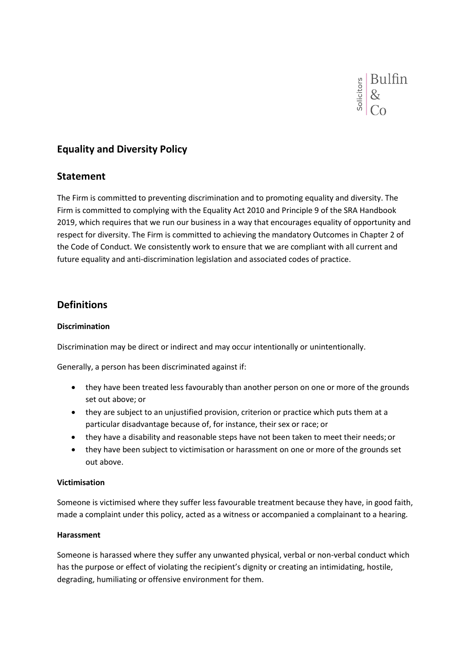

# **Equality and Diversity Policy**

### **Statement**

The Firm is committed to preventing discrimination and to promoting equality and diversity. The Firm is committed to complying with the Equality Act 2010 and Principle 9 of the SRA Handbook 2019, which requires that we run our business in a way that encourages equality of opportunity and respect for diversity. The Firm is committed to achieving the mandatory Outcomes in Chapter 2 of the Code of Conduct. We consistently work to ensure that we are compliant with all current and future equality and anti-discrimination legislation and associated codes of practice.

## **Definitions**

#### **Discrimination**

Discrimination may be direct or indirect and may occur intentionally or unintentionally.

Generally, a person has been discriminated against if:

- they have been treated less favourably than another person on one or more of the grounds set out above; or
- they are subject to an unjustified provision, criterion or practice which puts them at a particular disadvantage because of, for instance, their sex or race; or
- they have a disability and reasonable steps have not been taken to meet their needs; or
- they have been subject to victimisation or harassment on one or more of the grounds set out above.

#### **Victimisation**

Someone is victimised where they suffer less favourable treatment because they have, in good faith, made a complaint under this policy, acted as a witness or accompanied a complainant to a hearing.

#### **Harassment**

Someone is harassed where they suffer any unwanted physical, verbal or non-verbal conduct which has the purpose or effect of violating the recipient's dignity or creating an intimidating, hostile, degrading, humiliating or offensive environment for them.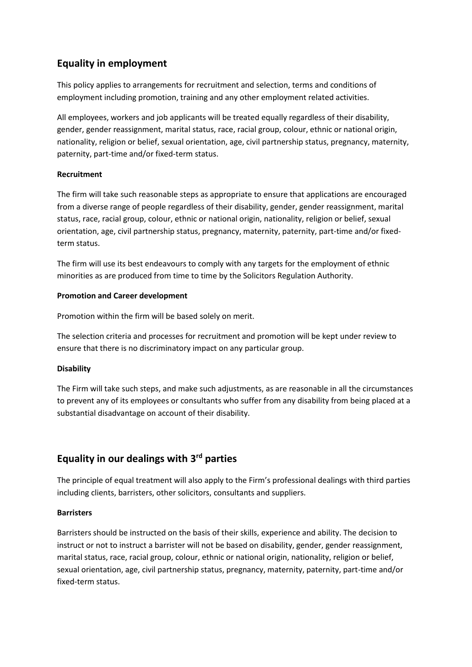# **Equality in employment**

This policy applies to arrangements for recruitment and selection, terms and conditions of employment including promotion, training and any other employment related activities.

All employees, workers and job applicants will be treated equally regardless of their disability, gender, gender reassignment, marital status, race, racial group, colour, ethnic or national origin, nationality, religion or belief, sexual orientation, age, civil partnership status, pregnancy, maternity, paternity, part-time and/or fixed-term status.

### **Recruitment**

The firm will take such reasonable steps as appropriate to ensure that applications are encouraged from a diverse range of people regardless of their disability, gender, gender reassignment, marital status, race, racial group, colour, ethnic or national origin, nationality, religion or belief, sexual orientation, age, civil partnership status, pregnancy, maternity, paternity, part-time and/or fixedterm status.

The firm will use its best endeavours to comply with any targets for the employment of ethnic minorities as are produced from time to time by the Solicitors Regulation Authority.

### **Promotion and Career development**

Promotion within the firm will be based solely on merit.

The selection criteria and processes for recruitment and promotion will be kept under review to ensure that there is no discriminatory impact on any particular group.

### **Disability**

The Firm will take such steps, and make such adjustments, as are reasonable in all the circumstances to prevent any of its employees or consultants who suffer from any disability from being placed at a substantial disadvantage on account of their disability.

## **Equality in our dealings with 3rd parties**

The principle of equal treatment will also apply to the Firm's professional dealings with third parties including clients, barristers, other solicitors, consultants and suppliers.

### **Barristers**

Barristers should be instructed on the basis of their skills, experience and ability. The decision to instruct or not to instruct a barrister will not be based on disability, gender, gender reassignment, marital status, race, racial group, colour, ethnic or national origin, nationality, religion or belief, sexual orientation, age, civil partnership status, pregnancy, maternity, paternity, part-time and/or fixed-term status.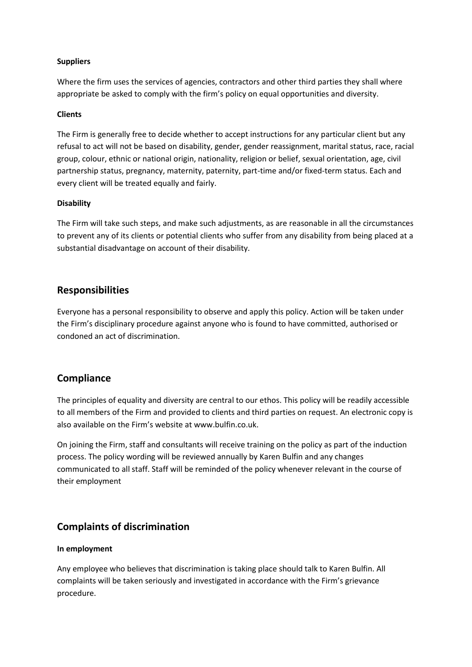#### **Suppliers**

Where the firm uses the services of agencies, contractors and other third parties they shall where appropriate be asked to comply with the firm's policy on equal opportunities and diversity.

#### **Clients**

The Firm is generally free to decide whether to accept instructions for any particular client but any refusal to act will not be based on disability, gender, gender reassignment, marital status, race, racial group, colour, ethnic or national origin, nationality, religion or belief, sexual orientation, age, civil partnership status, pregnancy, maternity, paternity, part-time and/or fixed-term status. Each and every client will be treated equally and fairly.

#### **Disability**

The Firm will take such steps, and make such adjustments, as are reasonable in all the circumstances to prevent any of its clients or potential clients who suffer from any disability from being placed at a substantial disadvantage on account of their disability.

## **Responsibilities**

Everyone has a personal responsibility to observe and apply this policy. Action will be taken under the Firm's disciplinary procedure against anyone who is found to have committed, authorised or condoned an act of discrimination.

## **Compliance**

The principles of equality and diversity are central to our ethos. This policy will be readily accessible to all members of the Firm and provided to clients and third parties on request. An electronic copy is also available on the Firm's website at [www.bulfin.co.uk.](http://www.bulfin.co.uk/)

On joining the Firm, staff and consultants will receive training on the policy as part of the induction process. The policy wording will be reviewed annually by Karen Bulfin and any changes communicated to all staff. Staff will be reminded of the policy whenever relevant in the course of their employment

## **Complaints of discrimination**

#### **In employment**

Any employee who believes that discrimination is taking place should talk to Karen Bulfin. All complaints will be taken seriously and investigated in accordance with the Firm's grievance procedure.